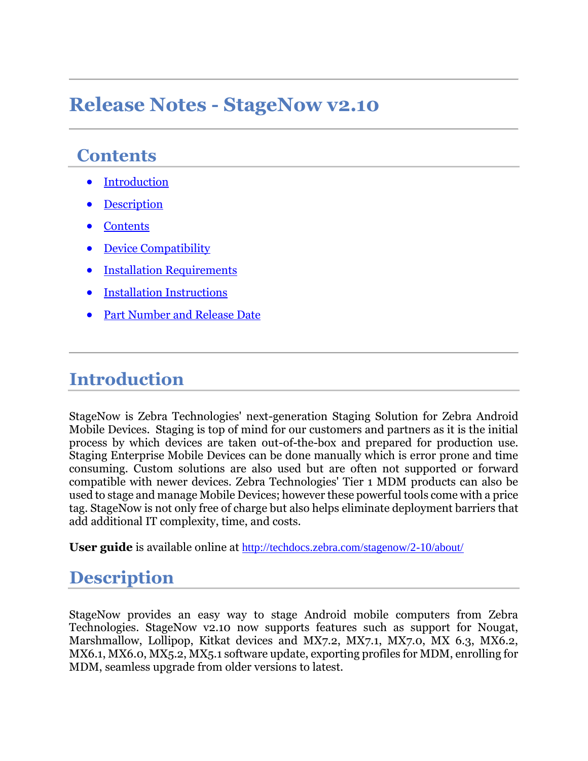### **Release Notes - StageNow v2.10**

#### **Contents**

- [Introduction](#page-0-0)
- **[Description](#page-0-1)**
- **[Contents](#page-1-0)**
- [Device Compatibility](#page-2-0)
- [Installation Requirements](#page-2-1)
- [Installation Instructions](#page-2-2)
- [Part Number and Release Date](#page-2-3)

#### <span id="page-0-0"></span>**Introduction**

StageNow is Zebra Technologies' next-generation Staging Solution for Zebra Android Mobile Devices. Staging is top of mind for our customers and partners as it is the initial process by which devices are taken out-of-the-box and prepared for production use. Staging Enterprise Mobile Devices can be done manually which is error prone and time consuming. Custom solutions are also used but are often not supported or forward compatible with newer devices. Zebra Technologies' Tier 1 MDM products can also be used to stage and manage Mobile Devices; however these powerful tools come with a price tag. StageNow is not only free of charge but also helps eliminate deployment barriers that add additional IT complexity, time, and costs.

<span id="page-0-1"></span>**User guide** is available online at <http://techdocs.zebra.com/stagenow/2-10/about/>

#### **Description**

StageNow provides an easy way to stage Android mobile computers from Zebra Technologies. StageNow v2.10 now supports features such as support for Nougat, Marshmallow, Lollipop, Kitkat devices and MX7.2, MX7.1, MX7.0, MX 6.3, MX6.2, MX6.1, MX6.0, MX5.2, MX5.1 software update, exporting profiles for MDM, enrolling for MDM, seamless upgrade from older versions to latest.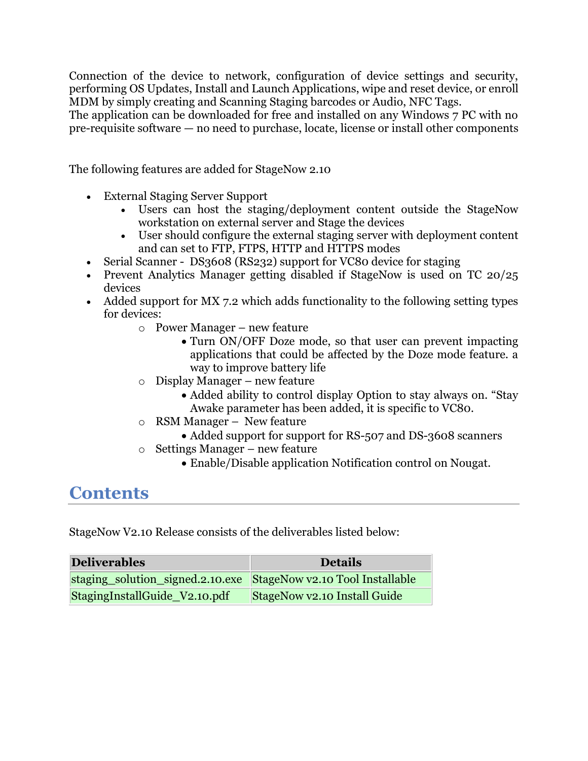Connection of the device to network, configuration of device settings and security, performing OS Updates, Install and Launch Applications, wipe and reset device, or enroll MDM by simply creating and Scanning Staging barcodes or Audio, NFC Tags.

The application can be downloaded for free and installed on any Windows 7 PC with no pre-requisite software — no need to purchase, locate, license or install other components

The following features are added for StageNow 2.10

- External Staging Server Support
	- Users can host the staging/deployment content outside the StageNow workstation on external server and Stage the devices
	- User should configure the external staging server with deployment content and can set to FTP, FTPS, HTTP and HTTPS modes
- Serial Scanner DS3608 (RS232) support for VC80 device for staging
- Prevent Analytics Manager getting disabled if StageNow is used on TC 20/25 devices
- Added support for MX 7.2 which adds functionality to the following setting types for devices:
	- o Power Manager new feature
		- Turn ON/OFF Doze mode, so that user can prevent impacting applications that could be affected by the Doze mode feature. a way to improve battery life
	- o Display Manager new feature
		- Added ability to control display Option to stay always on. "Stay" Awake parameter has been added, it is specific to VC80.
	- o RSM Manager New feature
		- Added support for support for RS-507 and DS-3608 scanners
	- o Settings Manager new feature
		- Enable/Disable application Notification control on Nougat.

#### <span id="page-1-0"></span>**Contents**

StageNow V2.10 Release consists of the deliverables listed below:

| <b>Deliverables</b>                                              | <b>Details</b>                      |
|------------------------------------------------------------------|-------------------------------------|
| staging_solution_signed.2.10.exe StageNow v2.10 Tool Installable |                                     |
| StagingInstallGuide_V2.10.pdf                                    | <b>StageNow v2.10 Install Guide</b> |